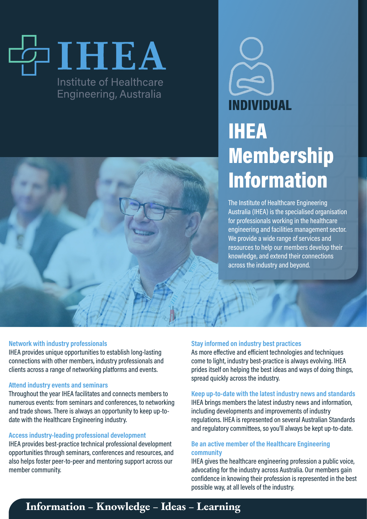## IHEA Institute of Healthcare **Engineering, Australia**



# INDIVIDUAL IHEA Membership Information

The Institute of Healthcare Engineering Australia (IHEA) is the specialised organisation for professionals working in the healthcare engineering and facilities management sector. We provide a wide range of services and resources to help our members develop their knowledge, and extend their connections across the industry and beyond.

#### **Network with industry professionals**

IHEA provides unique opportunities to establish long-lasting connections with other members, industry professionals and clients across a range of networking platforms and events.

#### **Attend industry events and seminars**

Throughout the year IHEA facilitates and connects members to numerous events: from seminars and conferences, to networking and trade shows. There is always an opportunity to keep up-todate with the Healthcare Engineering industry.

## **Access industry-leading professional development**

IHEA provides best-practice technical professional development opportunities through seminars, conferences and resources, and also helps foster peer-to-peer and mentoring support across our member community.

## **Stay informed on industry best practices**

As more effective and efficient technologies and techniques come to light, industry best-practice is always evolving. IHEA prides itself on helping the best ideas and ways of doing things, spread quickly across the industry.

**Keep up-to-date with the latest industry news and standards** IHEA brings members the latest industry news and information, including developments and improvements of industry regulations. IHEA is represented on several Australian Standards and regulatory committees, so you'll always be kept up-to-date.

## **Be an active member of the Healthcare Engineering community**

IHEA gives the healthcare engineering profession a public voice, advocating for the industry across Australia. Our members gain confidence in knowing their profession is represented in the best possible way, at all levels of the industry.

## **Information – Knowledge – Ideas – Learning**